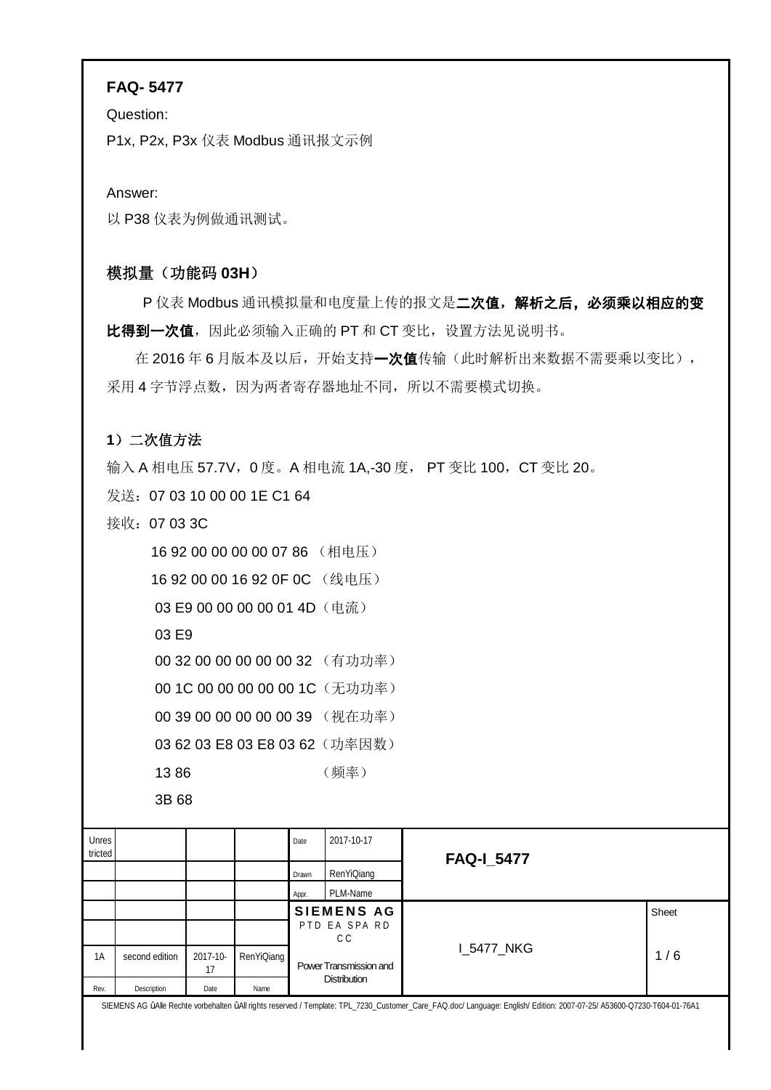## **FAQ- 5477**

Question:

P1x, P2x, P3x 仪表 Modbus 通讯报文示例

Answer:

以 P38 仪表为例做通讯测试。

# 模拟量(功能码 **03H**)

P 仪表 Modbus 通讯模拟量和电度量上传的报文是二次值,解析之后,必须乘以相应的变 比得到一次值,因此必须输入正确的 PT 和 CT 变比, 设置方法见说明书。

在 2016年6月版本及以后,开始支持一次值传输(此时解析出来数据不需要乘以变比), 采用4字节浮点数,因为两者寄存器地址不同,所以不需要模式切换。

## **1**)二次值方法

输入 A 相电压 57.7V, 0 度。A 相电流 1A,-30 度, PT 变比 100, CT 变比 20。

发送:07 03 10 00 00 1E C1 64

接收:07 03 3C

| 1692000000000786(相电压)          |      |
|--------------------------------|------|
| 1692000016920F0C(线电压)          |      |
| 03 E9 00 00 00 00 01 4D (电流)   |      |
| 03 E9                          |      |
| 00 32 00 00 00 00 00 32 (有功功率) |      |
| 00 1C 00 00 00 00 00 1C (无功功率) |      |
| 00 39 00 00 00 00 00 39 (视在功率) |      |
| 03 62 03 E8 03 E8 03 62 (功率因数) |      |
| 1386                           | (频率) |
| 3B 68                          |      |

| Unres<br>tricted |                |                |            | Date  | 2017-10-17             | <b>FAQ-I_5477</b> |       |
|------------------|----------------|----------------|------------|-------|------------------------|-------------------|-------|
|                  |                |                |            | Drawn | RenYiQiang             |                   |       |
|                  |                |                |            | Appr. | PLM-Name               |                   |       |
|                  |                |                |            |       | <b>SIEMENS AG</b>      |                   | Sheet |
|                  |                |                |            |       | PTD EA SPA RD<br>C C   |                   |       |
| 1A               | second edition | 2017-10-<br>17 | RenYiQiang |       | Power Transmission and | I_5477_NKG        | 1/6   |
| Rev.             | Description    | Date           | Name       |       | <b>Distribution</b>    |                   |       |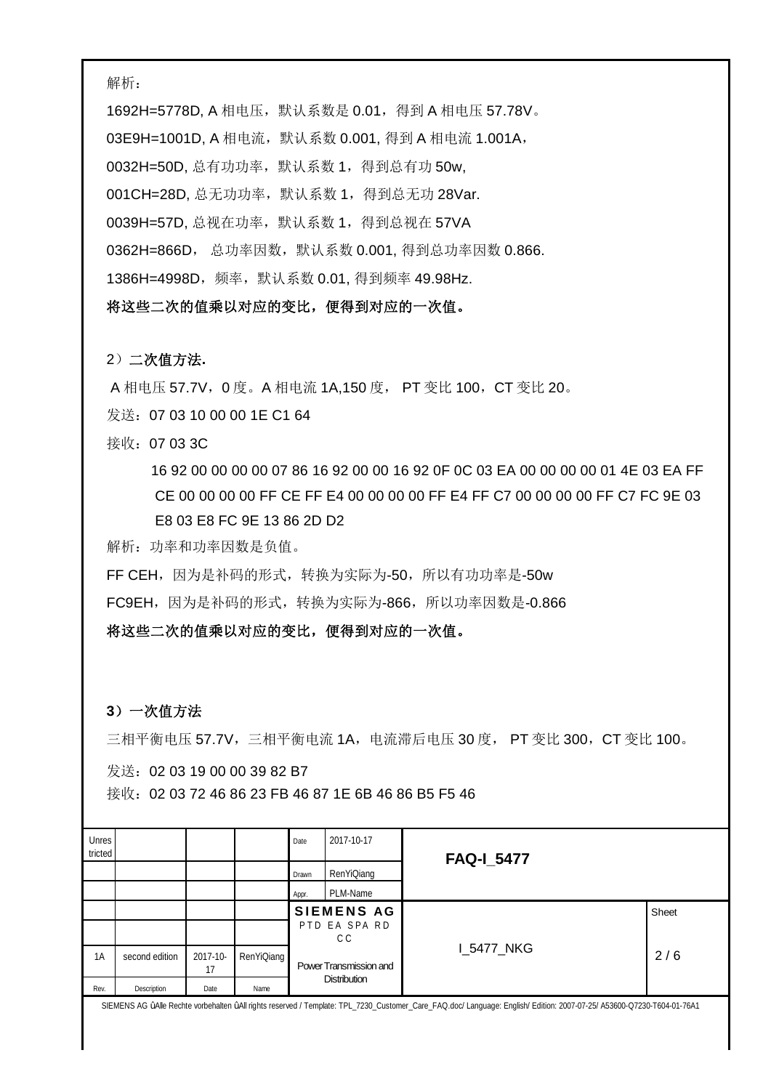解析:

1692H=5778D, A 相电压, 默认系数是 0.01, 得到 A 相电压 57.78V。 03E9H=1001D, A 相电流, 默认系数 0.001, 得到 A 相电流 1.001A, 0032H=50D, 总有功功率, 默认系数 1, 得到总有功 50w, 001CH=28D, 总无功功率,默认系数 1,得到总无功 28Var. 0039H=57D, 总视在功率,默认系数 1,得到总视在 57VA 0362H=866D, 总功率因数,默认系数 0.001, 得到总功率因数 0.866. 1386H=4998D,频率,默认系数 0.01, 得到频率 49.98Hz.

将这些二次的值乘以对应的变比,便得到对应的一次值。

#### 2)二次值方法**.**

A 相电压 57.7V, 0 度。A 相电流 1A,150 度, PT 变比 100, CT 变比 20。

发送:07 03 10 00 00 1E C1 64

接收:07 03 3C

 16 92 00 00 00 00 07 86 16 92 00 00 16 92 0F 0C 03 EA 00 00 00 00 01 4E 03 EA FF CE 00 00 00 00 FF CE FF E4 00 00 00 00 FF E4 FF C7 00 00 00 00 FF C7 FC 9E 03 E8 03 E8 FC 9E 13 86 2D D2

解析:功率和功率因数是负值。

FF CEH, 因为是补码的形式, 转换为实际为-50, 所以有功功率是-50w

FC9EH,因为是补码的形式,转换为实际为-866,所以功率因数是-0.866

将这些二次的值乘以对应的变比,便得到对应的一次值。

### **3**)一次值方法

三相平衡电压 57.7V,三相平衡电流 1A,电流滞后电压 30 度, PT 变比 300,CT 变比 100。

发送:02 03 19 00 00 39 82 B7

接收:02 03 72 46 86 23 FB 46 87 1E 6B 46 86 B5 F5 46

| Unres<br>tricted |                |                |            | Date  | 2017-10-17             | <b>FAQ-1_5477</b> |       |
|------------------|----------------|----------------|------------|-------|------------------------|-------------------|-------|
|                  |                |                |            | Drawn | RenYiQiang             |                   |       |
|                  |                |                |            | Appr. | PLM-Name               |                   |       |
|                  |                |                |            |       | <b>SIEMENS AG</b>      |                   | Sheet |
|                  |                |                |            |       | PTD EA SPA RD<br>C C   |                   |       |
| 1A               | second edition | 2017-10-<br>17 | RenYiQiang |       | Power Transmission and | I_5477_NKG        | 2/6   |
| Rev.             | Description    | Date           | Name       |       | <b>Distribution</b>    |                   |       |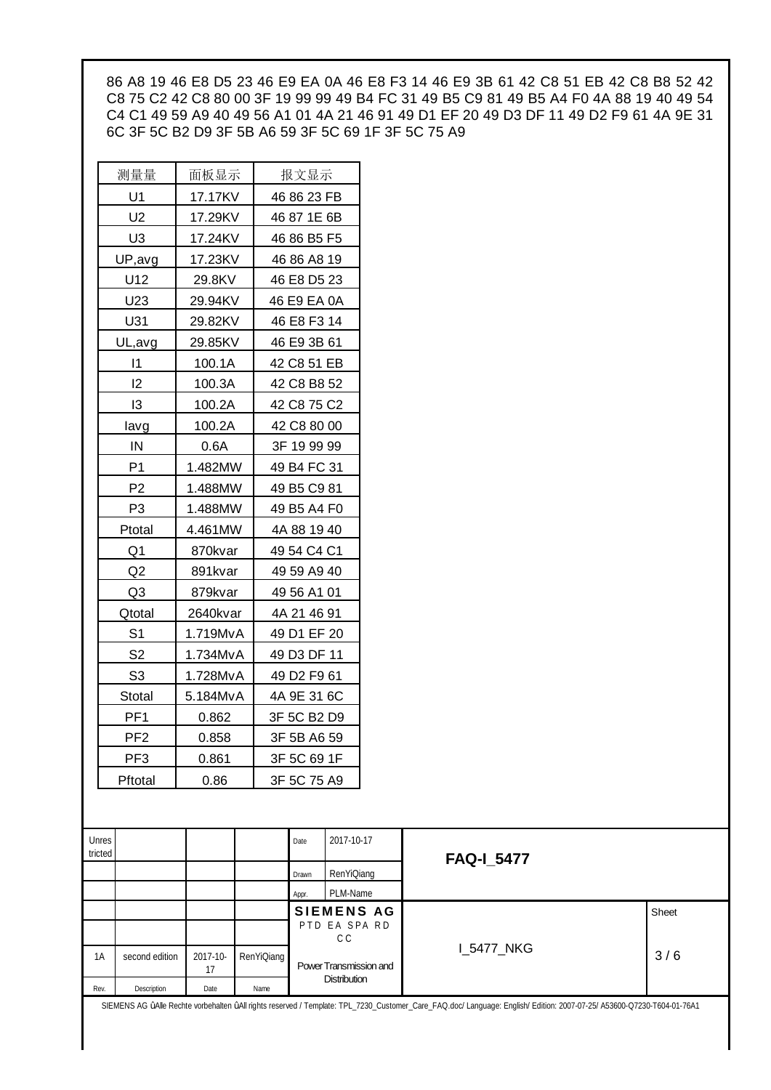86 A8 19 46 E8 D5 23 46 E9 EA 0A 46 E8 F3 14 46 E9 3B 61 42 C8 51 EB 42 C8 B8 52 42 C8 75 C2 42 C8 80 00 3F 19 99 99 49 B4 FC 31 49 B5 C9 81 49 B5 A4 F0 4A 88 19 40 49 54 C4 C1 49 59 A9 40 49 56 A1 01 4A 21 46 91 49 D1 EF 20 49 D3 DF 11 49 D2 F9 61 4A 9E 31 6C 3F 5C B2 D9 3F 5B A6 59 3F 5C 69 1F 3F 5C 75 A9

| 测量量             | 面板显示     | 报文显示        |
|-----------------|----------|-------------|
| U1              | 17.17KV  | 46 86 23 FB |
| U2              | 17.29KV  | 46 87 1E 6B |
| U3              | 17.24KV  | 46 86 B5 F5 |
| UP,avg          | 17.23KV  | 46 86 A8 19 |
| U12             | 29.8KV   | 46 E8 D5 23 |
| U23             | 29.94KV  | 46 E9 EA 0A |
| U31             | 29.82KV  | 46 E8 F3 14 |
| UL, avg         | 29.85KV  | 46 E9 3B 61 |
| $\vert$ 1       | 100.1A   | 42 C8 51 EB |
| 12              | 100.3A   | 42 C8 B8 52 |
| 13              | 100.2A   | 42 C8 75 C2 |
| lavg            | 100.2A   | 42 C8 80 00 |
| IN              | 0.6A     | 3F 19 99 99 |
| P <sub>1</sub>  | 1.482MW  | 49 B4 FC 31 |
| P <sub>2</sub>  | 1.488MW  | 49 B5 C9 81 |
| P <sub>3</sub>  | 1.488MW  | 49 B5 A4 F0 |
| Ptotal          | 4.461MW  | 4A 88 19 40 |
| Q1              | 870kvar  | 49 54 C4 C1 |
| Q <sub>2</sub>  | 891kvar  | 49 59 A9 40 |
| Q3              | 879kvar  | 49 56 A1 01 |
| Qtotal          | 2640kvar | 4A 21 46 91 |
| S <sub>1</sub>  | 1.719MvA | 49 D1 EF 20 |
| S <sub>2</sub>  | 1.734MvA | 49 D3 DF 11 |
| S <sub>3</sub>  | 1.728MvA | 49 D2 F9 61 |
| Stotal          | 5.184MvA | 4A 9E 31 6C |
| PF <sub>1</sub> | 0.862    | 3F 5C B2 D9 |
| PF <sub>2</sub> | 0.858    | 3F 5B A6 59 |
| PF <sub>3</sub> | 0.861    | 3F 5C 69 1F |
| Pftotal         | 0.86     | 3F 5C 75 A9 |
|                 |          |             |

| Unres<br>tricted |                |          |            | Date  | 2017-10-17             | <b>FAQ-I_5477</b> |       |
|------------------|----------------|----------|------------|-------|------------------------|-------------------|-------|
|                  |                |          |            | Drawn | RenYiQiang             |                   |       |
|                  |                |          |            | Appr. | PLM-Name               |                   |       |
|                  |                |          |            |       | <b>SIEMENS AG</b>      |                   | Sheet |
|                  |                |          |            |       | PTD EA SPA RD          |                   |       |
|                  |                |          |            |       | C C                    |                   |       |
| 1A               | second edition | 2017-10- | RenYiQiang |       | Power Transmission and | <b>I_5477_NKG</b> | 3/6   |
|                  |                | 17       |            |       |                        |                   |       |
|                  |                |          |            |       | <b>Distribution</b>    |                   |       |
| Rev.             | Description    | Date     | Name       |       |                        |                   |       |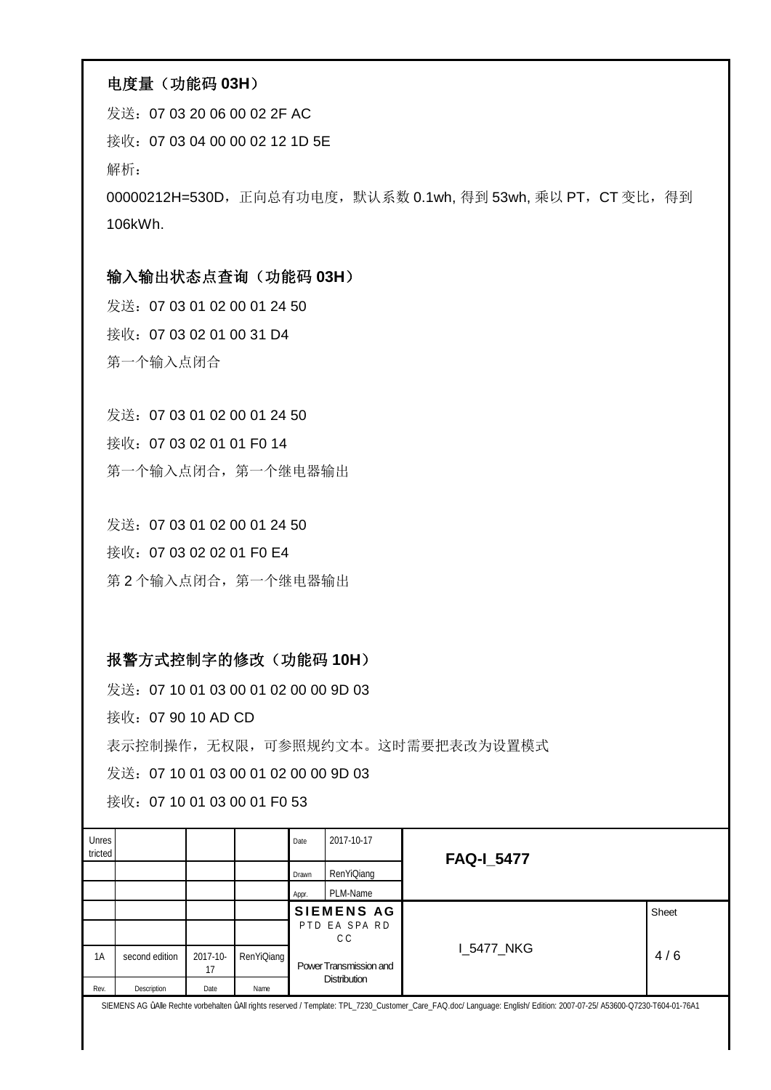### 电度量(功能码 **03H**)

发送:07 03 20 06 00 02 2F AC 接收:07 03 04 00 00 02 12 1D 5E 解析: 00000212H=530D, 正向总有功电度, 默认系数 0.1wh, 得到 53wh, 乘以 PT, CT 变比, 得到 106kWh.

## 输入输出状态点查询(功能码 **03H**)

发送:07 03 01 02 00 01 24 50 接收:07 03 02 01 00 31 D4 第一个输入点闭合

发送:07 03 01 02 00 01 24 50 接收:07 03 02 01 01 F0 14 第一个输入点闭合, 第一个继电器输出

发送:07 03 01 02 00 01 24 50 接收:07 03 02 02 01 F0 E4 第 2 个输入点闭合, 第一个继电器输出

## 报警方式控制字的修改(功能码 **10H**)

发送: 07 10 01 03 00 01 02 00 00 9D 03

接收:07 90 10 AD CD

表示控制操作,无权限,可参照规约文本。这时需要把表改为设置模式

发送: 07 10 01 03 00 01 02 00 00 9D 03

接收:07 10 01 03 00 01 F0 53

| Unres<br>tricted |                |                |            | Date  | 2017-10-17             | <b>FAQ-I_5477</b> |       |
|------------------|----------------|----------------|------------|-------|------------------------|-------------------|-------|
|                  |                |                |            | Drawn | RenYiQiang             |                   |       |
|                  |                |                |            | Appr. | PLM-Name               |                   |       |
|                  |                |                |            |       | <b>SIEMENS AG</b>      |                   | Sheet |
|                  |                |                |            |       | PTD EA SPA RD<br>C C   |                   |       |
| 1A               | second edition | 2017-10-<br>17 | RenYiQiang |       | Power Transmission and | I_5477_NKG        | 4/6   |
| Rev.             | Description    | Date           | Name       |       | <b>Distribution</b>    |                   |       |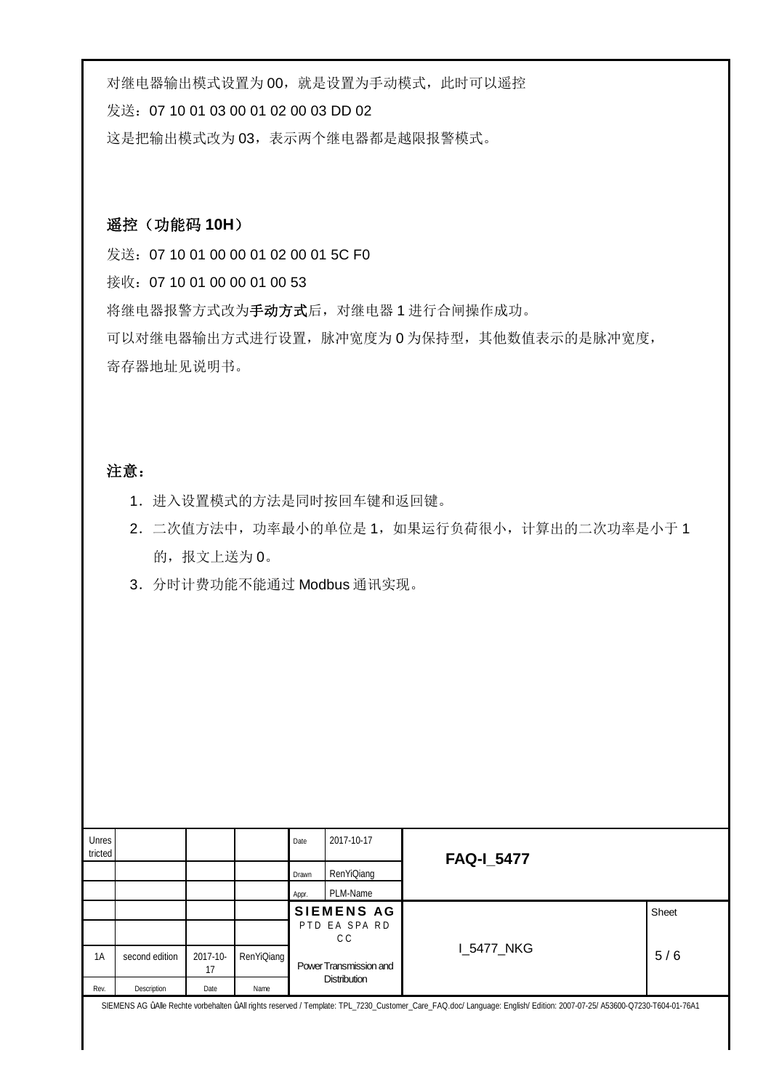对继电器输出模式设置为00,就是设置为手动模式,此时可以遥控

发送:07 10 01 03 00 01 02 00 03 DD 02

这是把输出模式改为 03,表示两个继电器都是越限报警模式。

## 遥控(功能码 **10H**)

发送:07 10 01 00 00 01 02 00 01 5C F0 接收:07 10 01 00 00 01 00 53 将继电器报警方式改为手动方式后,对继电器 1 进行合闸操作成功。 可以对继电器输出方式进行设置,脉冲宽度为 0 为保持型,其他数值表示的是脉冲宽度, 寄存器地址见说明书。

### 注意:

- 1.进入设置模式的方法是同时按回车键和返回键。
- 2. 二次值方法中,功率最小的单位是 1, 如果运行负荷很小, 计算出的二次功率是小于 1 的,报文上送为0。
- 3.分时计费功能不能通过 Modbus 通讯实现。

| Unres<br>tricted |                |                |            | Date  | 2017-10-17             | <b>FAQ-I_5477</b> |       |
|------------------|----------------|----------------|------------|-------|------------------------|-------------------|-------|
|                  |                |                |            | Drawn | RenYiQiang             |                   |       |
|                  |                |                |            | Appr. | PLM-Name               |                   |       |
|                  |                |                |            |       | <b>SIEMENS AG</b>      |                   | Sheet |
|                  |                |                |            |       | PTD EA SPA RD<br>C C   |                   |       |
| 1A               | second edition | 2017-10-<br>17 | RenYiQiang |       | Power Transmission and | <b>I_5477_NKG</b> | 5/6   |
| Rev.             | Description    | Date           | Name       |       | Distribution           |                   |       |